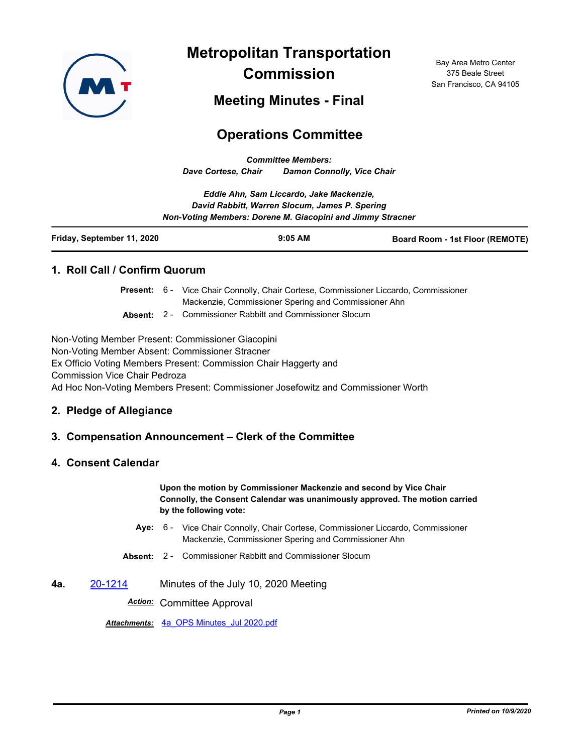

**Metropolitan Transportation Commission**

Bay Area Metro Center 375 Beale Street San Francisco, CA 94105

**Meeting Minutes - Final**

# **Operations Committee**

*Committee Members: Dave Cortese, Chair Damon Connolly, Vice Chair*

| Eddie Ahn, Sam Liccardo, Jake Mackenzie,                   |  |
|------------------------------------------------------------|--|
| David Rabbitt, Warren Slocum, James P. Spering             |  |
| Non-Voting Members: Dorene M. Giacopini and Jimmy Stracner |  |
|                                                            |  |

| Friday, September 11, 2020 | $9:05$ AM | <b>Board Room - 1st Floor (REMOTE)</b> |
|----------------------------|-----------|----------------------------------------|
|----------------------------|-----------|----------------------------------------|

### **1. Roll Call / Confirm Quorum**

Present: 6 - Vice Chair Connolly, Chair Cortese, Commissioner Liccardo, Commissioner Mackenzie, Commissioner Spering and Commissioner Ahn

**Absent:** 2 - Commissioner Rabbitt and Commissioner Slocum

Non-Voting Member Present: Commissioner Giacopini Non-Voting Member Absent: Commissioner Stracner Ex Officio Voting Members Present: Commission Chair Haggerty and Commission Vice Chair Pedroza Ad Hoc Non-Voting Members Present: Commissioner Josefowitz and Commissioner Worth

### **2. Pledge of Allegiance**

### **3. Compensation Announcement – Clerk of the Committee**

### **4. Consent Calendar**

**Upon the motion by Commissioner Mackenzie and second by Vice Chair Connolly, the Consent Calendar was unanimously approved. The motion carried by the following vote:**

- Aye: 6 Vice Chair Connolly, Chair Cortese, Commissioner Liccardo, Commissioner Mackenzie, Commissioner Spering and Commissioner Ahn
- **Absent:** 2 Commissioner Rabbitt and Commissioner Slocum
- **4a.** [20-1214](http://mtc.legistar.com/gateway.aspx?m=l&id=/matter.aspx?key=21079) Minutes of the July 10, 2020 Meeting

*Action:* Committee Approval

*Attachments:* [4a\\_OPS Minutes\\_Jul 2020.pdf](http://mtc.legistar.com/gateway.aspx?M=F&ID=1b08beaf-f995-45ff-8557-ec79f8ad493c.pdf)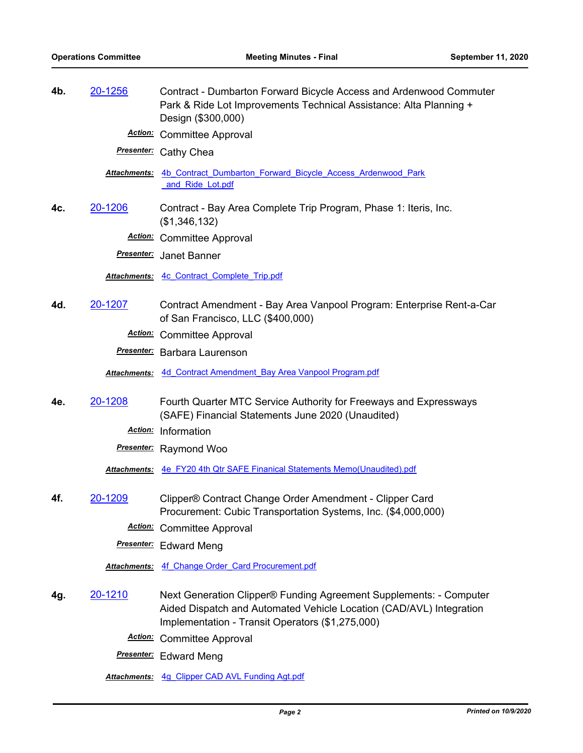| 4b. | 20-1256      | Contract - Dumbarton Forward Bicycle Access and Ardenwood Commuter<br>Park & Ride Lot Improvements Technical Assistance: Alta Planning +<br>Design (\$300,000)<br><b>Action:</b> Committee Approval |
|-----|--------------|-----------------------------------------------------------------------------------------------------------------------------------------------------------------------------------------------------|
|     |              | <b>Presenter:</b> Cathy Chea                                                                                                                                                                        |
|     | Attachments: | 4b Contract Dumbarton Forward Bicycle Access Ardenwood Park<br>and Ride Lot.pdf                                                                                                                     |
| 4c. | 20-1206      | Contract - Bay Area Complete Trip Program, Phase 1: Iteris, Inc.<br>(\$1,346,132)                                                                                                                   |
|     |              | <b>Action:</b> Committee Approval                                                                                                                                                                   |
|     |              | <b>Presenter:</b> Janet Banner                                                                                                                                                                      |
|     |              | Attachments: 4c Contract Complete Trip.pdf                                                                                                                                                          |
| 4d. | 20-1207      | Contract Amendment - Bay Area Vanpool Program: Enterprise Rent-a-Car<br>of San Francisco, LLC (\$400,000)                                                                                           |
|     |              | <b>Action:</b> Committee Approval                                                                                                                                                                   |
|     |              | <b>Presenter:</b> Barbara Laurenson                                                                                                                                                                 |
|     |              | Attachments: 4d Contract Amendment Bay Area Vanpool Program.pdf                                                                                                                                     |
| 4e. | 20-1208      | Fourth Quarter MTC Service Authority for Freeways and Expressways<br>(SAFE) Financial Statements June 2020 (Unaudited)                                                                              |
|     |              | Action: Information                                                                                                                                                                                 |
|     |              | <b>Presenter:</b> Raymond Woo                                                                                                                                                                       |
|     |              | Attachments: 4e FY20 4th Qtr SAFE Finanical Statements Memo(Unaudited).pdf                                                                                                                          |
| 4f. | 20-1209      | Clipper® Contract Change Order Amendment - Clipper Card<br>Procurement: Cubic Transportation Systems, Inc. (\$4,000,000)                                                                            |
|     |              | <b>Action:</b> Committee Approval                                                                                                                                                                   |
|     |              | <b>Presenter:</b> Edward Meng                                                                                                                                                                       |
|     |              | <b>Attachments: 4f Change Order Card Procurement.pdf</b>                                                                                                                                            |
| 4g. | 20-1210      | Next Generation Clipper® Funding Agreement Supplements: - Computer<br>Aided Dispatch and Automated Vehicle Location (CAD/AVL) Integration<br>Implementation - Transit Operators (\$1,275,000)       |
|     |              | <b>Action:</b> Committee Approval                                                                                                                                                                   |
|     |              | <b>Presenter:</b> Edward Meng                                                                                                                                                                       |
|     |              |                                                                                                                                                                                                     |

*Attachments:* [4g\\_Clipper CAD AVL Funding Agt.pdf](http://mtc.legistar.com/gateway.aspx?M=F&ID=db51b10d-4bbc-4a13-82a0-c804f3c0cf2f.pdf)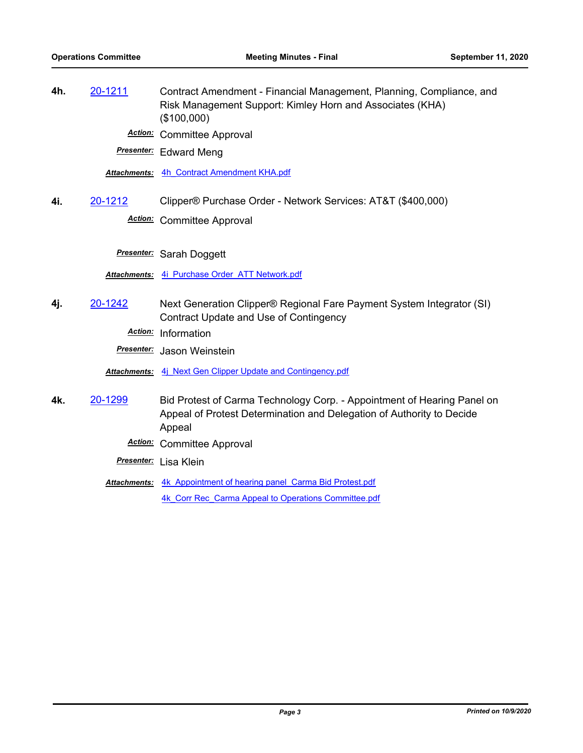**4h.** [20-1211](http://mtc.legistar.com/gateway.aspx?m=l&id=/matter.aspx?key=21076) Contract Amendment - Financial Management, Planning, Compliance, and Risk Management Support: Kimley Horn and Associates (KHA) (\$100,000) *Action:* Committee Approval *Presenter:* Edward Meng *Attachments:* [4h\\_Contract Amendment KHA.pdf](http://mtc.legistar.com/gateway.aspx?M=F&ID=bc2f5bb9-a20c-4681-9ad1-95a62e6e4dae.pdf) **4i.** [20-1212](http://mtc.legistar.com/gateway.aspx?m=l&id=/matter.aspx?key=21077) Clipper® Purchase Order - Network Services: AT&T (\$400,000) *Action:* Committee Approval *Presenter:* Sarah Doggett *Attachments:* [4i\\_Purchase Order\\_ATT Network.pdf](http://mtc.legistar.com/gateway.aspx?M=F&ID=d6a5720d-1d52-4f5e-adde-d529e723443c.pdf) **4j.** [20-1242](http://mtc.legistar.com/gateway.aspx?m=l&id=/matter.aspx?key=21107) Next Generation Clipper® Regional Fare Payment System Integrator (SI) Contract Update and Use of Contingency *Action:* Information *Presenter:* Jason Weinstein *Attachments:* [4j\\_Next Gen Clipper Update and Contingency.pdf](http://mtc.legistar.com/gateway.aspx?M=F&ID=0f3eb522-6596-4ac3-bd12-4bff33ba8b01.pdf) **4k.** [20-1299](http://mtc.legistar.com/gateway.aspx?m=l&id=/matter.aspx?key=21164) Bid Protest of Carma Technology Corp. - Appointment of Hearing Panel on Appeal of Protest Determination and Delegation of Authority to Decide Appeal *Action:* Committee Approval *Presenter:* Lisa Klein Attachments: 4k Appointment of hearing panel Carma Bid Protest.pdf 4k Corr Rec Carma Appeal to Operations Committee.pdf